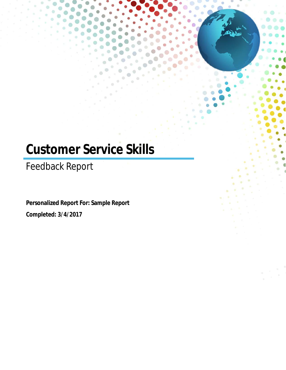# **Customer Service Skills**

Feedback Report

**Personalized Report For: Sample Report Completed: 3/4/2017**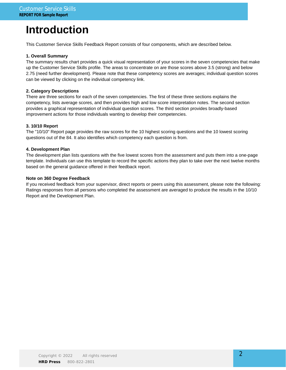## **Introduction**

This Customer Service Skills Feedback Report consists of four components, which are described below.

#### **1. Overall Summary**

The summary results chart provides a quick visual representation of your scores in the seven competencies that make up the Customer Service Skills profile. The areas to concentrate on are those scores above 3.5 (strong) and below 2.75 (need further development). Please note that these competency scores are averages; individual question scores can be viewed by clicking on the individual competency link.

#### **2. Category Descriptions**

There are three sections for each of the seven competencies. The first of these three sections explains the competency, lists average scores, and then provides high and low score interpretation notes. The second section provides a graphical representation of individual question scores. The third section provides broadly-based improvement actions for those individuals wanting to develop their competencies.

#### **3. 10/10 Report**

The "10/10" Report page provides the raw scores for the 10 highest scoring questions and the 10 lowest scoring questions out of the 84. It also identifies which competency each question is from.

#### **4. Development Plan**

The development plan lists questions with the five lowest scores from the assessment and puts them into a one-page template. Individuals can use this template to record the specific actions they plan to take over the next twelve months based on the general guidance offered in their feedback report.

#### **Note on 360 Degree Feedback**

If you received feedback from your supervisor, direct reports or peers using this assessment, please note the following: Ratings responses from all persons who completed the assessment are averaged to produce the results in the 10/10 Report and the Development Plan.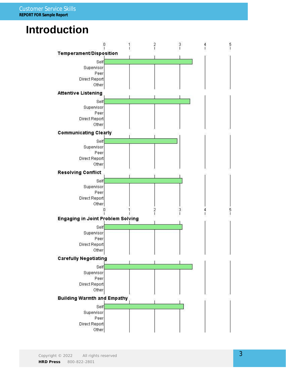## **Introduction**

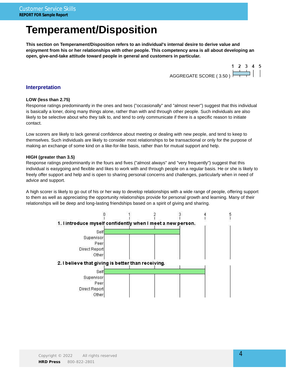## **Temperament/Disposition**

**This section on Temperament/Disposition refers to an individual's internal desire to derive value and enjoyment from his or her relationships with other people. This competency area is all about developing an open, give-and-take attitude toward people in general and customers in particular.**



#### **Interpretation**

#### **LOW (less than 2.75)**

Response ratings predominantly in the ones and twos ("occasionally" and "almost never") suggest that this individual is basically a loner, doing many things alone, rather than with and through other people. Such individuals are also likely to be selective about who they talk to, and tend to only communicate if there is a specific reason to initiate contact.

Low scorers are likely to lack general confidence about meeting or dealing with new people, and tend to keep to themselves. Such individuals are likely to consider most relationships to be transactional or only for the purpose of making an exchange of some kind on a like-for-like basis, rather than for mutual support and help.

#### **HIGH (greater than 3.5)**

Response ratings predominantly in the fours and fives ("almost always" and "very frequently") suggest that this individual is easygoing and flexible and likes to work with and through people on a regular basis. He or she is likely to freely offer support and help and is open to sharing personal concerns and challenges, particularly when in need of advice and support.

A high scorer is likely to go out of his or her way to develop relationships with a wide range of people, offering support to them as well as appreciating the opportunity relationships provide for personal growth and learning. Many of their relationships will be deep and long-lasting friendships based on a spirit of giving and sharing.

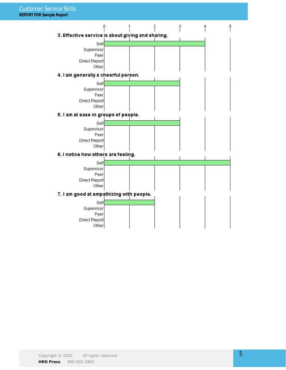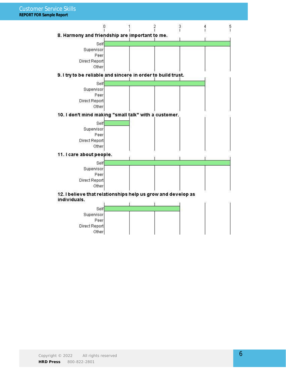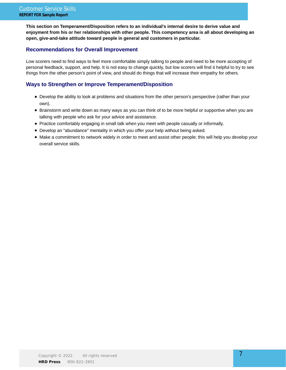**This section on Temperament/Disposition refers to an individual's internal desire to derive value and enjoyment from his or her relationships with other people. This competency area is all about developing an open, give-and-take attitude toward people in general and customers in particular.**

### **Recommendations for Overall Improvement**

Low scorers need to find ways to feel more comfortable simply talking to people and need to be more accepting of personal feedback, support, and help. It is not easy to change quickly, but low scorers will find it helpful to try to see things from the other person's point of view, and should do things that will increase their empathy for others.

## **Ways to Strengthen or Improve Temperament/Disposition**

- Develop the ability to look at problems and situations from the other person's perspective (rather than your own).
- Brainstorm and write down as many ways as you can think of to be more helpful or supportive when you are talking with people who ask for your advice and assistance.
- Practice comfortably engaging in small talk when you meet with people casually or informally.
- Develop an "abundance" mentality in which you offer your help without being asked.
- Make a commitment to network widely in order to meet and assist other people; this will help you develop your overall service skills.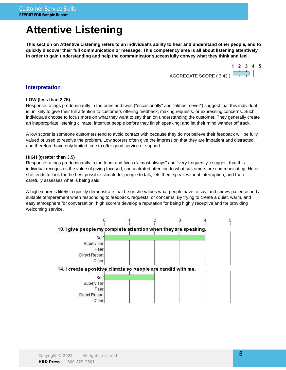## **Attentive Listening**

**This section on Attentive Listening refers to an individual's ability to hear and understand other people, and to quickly discover their full communication or message. This competency area is all about listening attentively in order to gain understanding and help the communicator successfully convey what they think and feel.**



#### **Interpretation**

#### **LOW (less than 2.75)**

Response ratings predominantly in the ones and twos ("occasionally" and "almost never") suggest that this individual is unlikely to give their full attention to customers offering feedback, making requests, or expressing concerns. Such individuals choose to focus more on what they want to say than on understanding the customer. They generally create an inappropriate listening climate; interrupt people before they finish speaking; and let their mind wander off track.

A low scorer is someone customers tend to avoid contact with because they do not believe their feedback will be fully valued or used to resolve the problem. Low scorers often give the impression that they are impatient and distracted, and therefore have only limited time to offer good service or support.

#### **HIGH (greater than 3.5)**

Response ratings predominantly in the fours and fives ("almost always" and "very frequently") suggest that this individual recognizes the value of giving focused, concentrated attention to what customers are communicating. He or she tends to look for the best possible climate for people to talk, lets them speak without interruption, and then carefully assesses what is being said.

A high scorer is likely to quickly demonstrate that he or she values what people have to say, and shows patience and a suitable temperament when responding to feedback, requests, or concerns. By trying to create a quiet, warm, and easy atmosphere for conversation, high scorers develop a reputation for being highly receptive and for providing welcoming service.

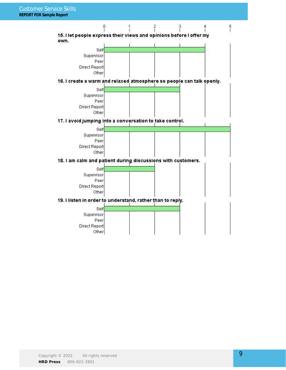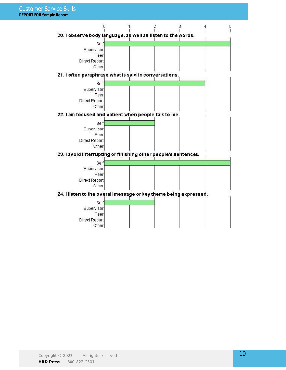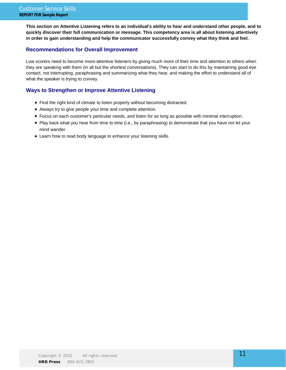**This section on Attentive Listening refers to an individual's ability to hear and understand other people, and to quickly discover their full communication or message. This competency area is all about listening attentively in order to gain understanding and help the communicator successfully convey what they think and feel.**

### **Recommendations for Overall Improvement**

Low scorers need to become more-attentive listeners by giving much more of their time and attention to others when they are speaking with them (in all but the shortest conversations). They can start to do this by maintaining good eye contact, not interrupting, paraphrasing and summarizing what they hear, and making the effort to understand all of what the speaker is trying to convey.

## **Ways to Strengthen or Improve Attentive Listening**

- Find the right kind of climate to listen properly without becoming distracted.
- Always try to give people your time and complete attention.
- Focus on each customer's particular needs, and listen for as long as possible with minimal interruption.
- Play back what you hear from time to time (i.e., by paraphrasing) to demonstrate that you have not let your mind wander.
- Learn how to read body language to enhance your listening skills.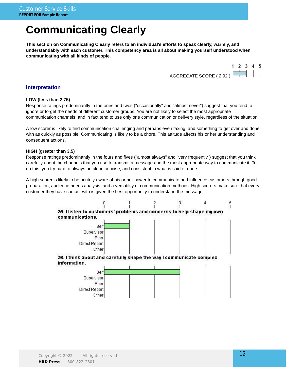## **Communicating Clearly**

**This section on Communicating Clearly refers to an individual's efforts to speak clearly, warmly, and understandably with each customer. This competency area is all about making yourself understood when communicating with all kinds of people.**



### **Interpretation**

#### **LOW (less than 2.75)**

Response ratings predominantly in the ones and twos ("occasionally" and "almost never") suggest that you tend to ignore or forget the needs of different customer groups. You are not likely to select the most appropriate communication channels, and in fact tend to use only one communication or delivery style, regardless of the situation.

A low scorer is likely to find communication challenging and perhaps even taxing, and something to get over and done with as quickly as possible. Communicating is likely to be a chore. This attitude affects his or her understanding and consequent actions.

#### **HIGH (greater than 3.5)**

Response ratings predominantly in the fours and fives ("almost always" and "very frequently") suggest that you think carefully about the channels that you use to transmit a message and the most appropriate way to communicate it. To do this, you try hard to always be clear, concise, and consistent in what is said or done.

A high scorer is likely to be acutely aware of his or her power to communicate and influence customers through good preparation, audience needs analysis, and a versatility of communication methods. High scorers make sure that every customer they have contact with is given the best opportunity to understand the message.

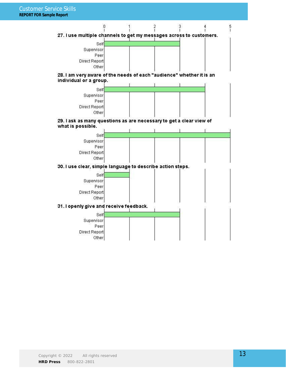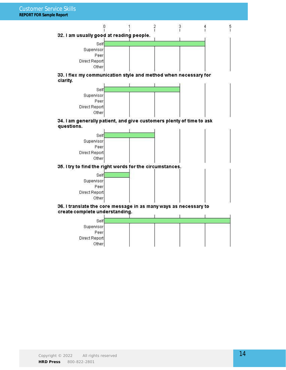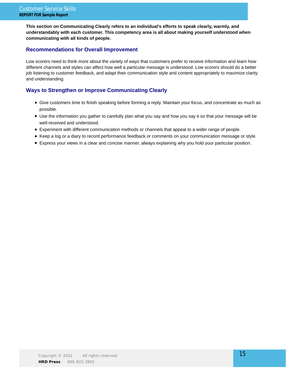**This section on Communicating Clearly refers to an individual's efforts to speak clearly, warmly, and understandably with each customer. This competency area is all about making yourself understood when communicating with all kinds of people.**

### **Recommendations for Overall Improvement**

Low scorers need to think more about the variety of ways that customers prefer to receive information and learn how different channels and styles can affect how well a particular message is understood. Low scorers should do a better job listening to customer feedback, and adapt their communication style and content appropriately to maximize clarity and understanding.

## **Ways to Strengthen or Improve Communicating Clearly**

- Give customers time to finish speaking before forming a reply. Maintain your focus, and concentrate as much as possible.
- Use the information you gather to carefully plan what you say and how you say it so that your message will be well-received and understood.
- Experiment with different communication methods or channels that appeal to a wider range of people.
- Keep a log or a diary to record performance feedback or comments on your communication message or style.
- Express your views in a clear and concise manner, always explaining why you hold your particular position.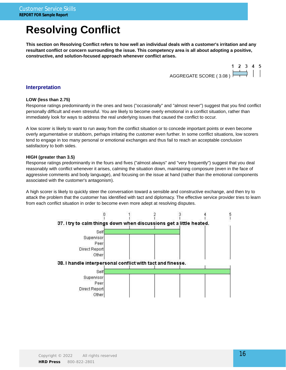## **Resolving Conflict**

**This section on Resolving Conflict refers to how well an individual deals with a customer's irritation and any resultant conflict or concern surrounding the issue. This competency area is all about adopting a positive, constructive, and solution-focused approach whenever conflict arises.**



### **Interpretation**

#### **LOW (less than 2.75)**

Response ratings predominantly in the ones and twos ("occasionally" and "almost never") suggest that you find conflict personally difficult and even stressful. You are likely to become overly emotional in a conflict situation, rather than immediately look for ways to address the real underlying issues that caused the conflict to occur.

A low scorer is likely to want to run away from the conflict situation or to concede important points or even become overly argumentative or stubborn, perhaps irritating the customer even further. In some conflict situations, low scorers tend to engage in too many personal or emotional exchanges and thus fail to reach an acceptable conclusion satisfactory to both sides.

#### **HIGH (greater than 3.5)**

Response ratings predominantly in the fours and fives ("almost always" and "very frequently") suggest that you deal reasonably with conflict whenever it arises, calming the situation down, maintaining composure (even in the face of aggressive comments and body language), and focusing on the issue at hand (rather than the emotional components associated with the customer's antagonism).

A high scorer is likely to quickly steer the conversation toward a sensible and constructive exchange, and then try to attack the problem that the customer has identified with tact and diplomacy. The effective service provider tries to learn from each conflict situation in order to become even more adept at resolving disputes.

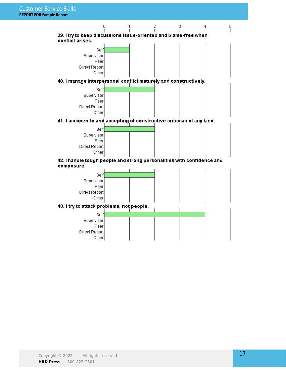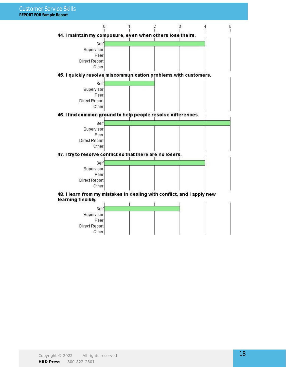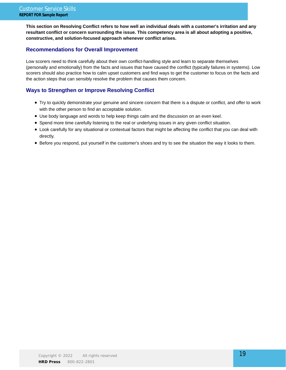**This section on Resolving Conflict refers to how well an individual deals with a customer's irritation and any resultant conflict or concern surrounding the issue. This competency area is all about adopting a positive, constructive, and solution-focused approach whenever conflict arises.**

## **Recommendations for Overall Improvement**

Low scorers need to think carefully about their own conflict-handling style and learn to separate themselves (personally and emotionally) from the facts and issues that have caused the conflict (typically failures in systems). Low scorers should also practice how to calm upset customers and find ways to get the customer to focus on the facts and the action steps that can sensibly resolve the problem that causes them concern.

## **Ways to Strengthen or Improve Resolving Conflict**

- Try to quickly demonstrate your genuine and sincere concern that there is a dispute or conflict, and offer to work with the other person to find an acceptable solution.
- Use body language and words to help keep things calm and the discussion on an even keel.
- Spend more time carefully listening to the real or underlying issues in any given conflict situation.
- Look carefully for any situational or contextual factors that might be affecting the conflict that you can deal with directly.
- Before you respond, put yourself in the customer's shoes and try to see the situation the way it looks to them.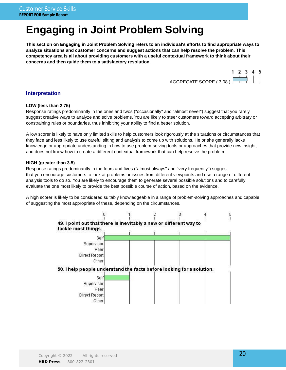## **Engaging in Joint Problem Solving**

**This section on Engaging in Joint Problem Solving refers to an individual's efforts to find appropriate ways to analyze situations and customer concerns and suggest actions that can help resolve the problem. This competency area is all about providing customers with a useful contextual framework to think about their concerns and then guide them to a satisfactory resolution.**



#### **Interpretation**

#### **LOW (less than 2.75)**

Response ratings predominantly in the ones and twos ("occasionally" and "almost never") suggest that you rarely suggest creative ways to analyze and solve problems. You are likely to steer customers toward accepting arbitrary or constraining rules or boundaries, thus inhibiting your ability to find a better solution.

A low scorer is likely to have only limited skills to help customers look rigorously at the situations or circumstances that they face and less likely to use careful sifting and analysis to come up with solutions. He or she generally lacks knowledge or appropriate understanding in how to use problem-solving tools or approaches that provide new insight, and does not know how to create a different contextual framework that can help resolve the problem.

#### **HIGH (greater than 3.5)**

Response ratings predominantly in the fours and fives ("almost always" and "very frequently") suggest that you encourage customers to look at problems or issues from different viewpoints and use a range of different analysis tools to do so. You are likely to encourage them to generate several possible solutions and to carefully evaluate the one most likely to provide the best possible course of action, based on the evidence.

A high scorer is likely to be considered suitably knowledgeable in a range of problem-solving approaches and capable of suggesting the most appropriate of these, depending on the circumstances.

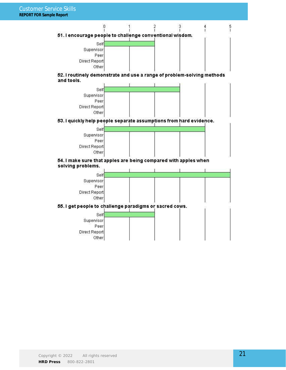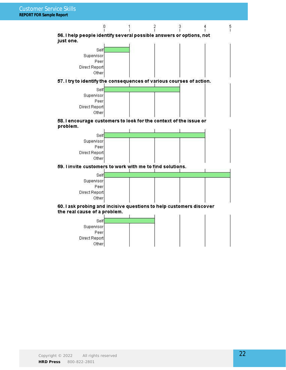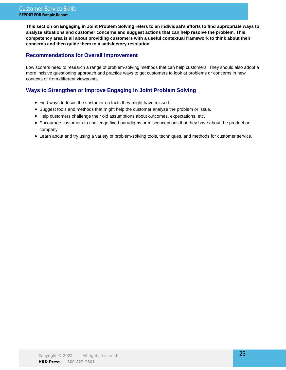**This section on Engaging in Joint Problem Solving refers to an individual's efforts to find appropriate ways to analyze situations and customer concerns and suggest actions that can help resolve the problem. This competency area is all about providing customers with a useful contextual framework to think about their concerns and then guide them to a satisfactory resolution.**

### **Recommendations for Overall Improvement**

Low scorers need to research a range of problem-solving methods that can help customers. They should also adopt a more incisive questioning approach and practice ways to get customers to look at problems or concerns in new contexts or from different viewpoints.

### **Ways to Strengthen or Improve Engaging in Joint Problem Solving**

- Find ways to focus the customer on facts they might have missed.
- Suggest tools and methods that might help the customer analyze the problem or issue.
- Help customers challenge their old assumptions about outcomes, expectations, etc.
- Encourage customers to challenge fixed paradigms or misconceptions that they have about the product or company.
- Learn about and try using a variety of problem-solving tools, techniques, and methods for customer service.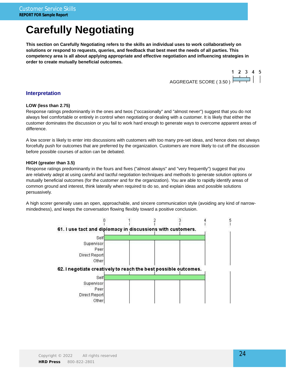## **Carefully Negotiating**

**This section on Carefully Negotiating refers to the skills an individual uses to work collaboratively on solutions or respond to requests, queries, and feedback that best meet the needs of all parties. This competency area is all about applying appropriate and effective negotiation and influencing strategies in order to create mutually beneficial outcomes.**



#### **Interpretation**

#### **LOW (less than 2.75)**

Response ratings predominantly in the ones and twos ("occasionally" and "almost never") suggest that you do not always feel comfortable or entirely in control when negotiating or dealing with a customer. It is likely that either the customer dominates the discussion or you fail to work hard enough to generate ways to overcome apparent areas of difference.

A low scorer is likely to enter into discussions with customers with too many pre-set ideas, and hence does not always forcefully push for outcomes that are preferred by the organization. Customers are more likely to cut off the discussion before possible courses of action can be debated.

#### **HIGH (greater than 3.5)**

Response ratings predominantly in the fours and fives ("almost always" and "very frequently") suggest that you are relatively adept at using careful and tactful negotiation techniques and methods to generate solution options or mutually beneficial outcomes (for the customer and for the organization). You are able to rapidly identify areas of common ground and interest, think laterally when required to do so, and explain ideas and possible solutions persuasively.

A high scorer generally uses an open, approachable, and sincere communication style (avoiding any kind of narrowmindedness), and keeps the conversation flowing flexibly toward a positive conclusion.

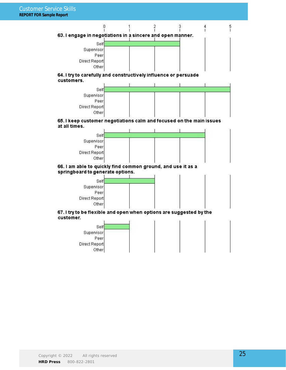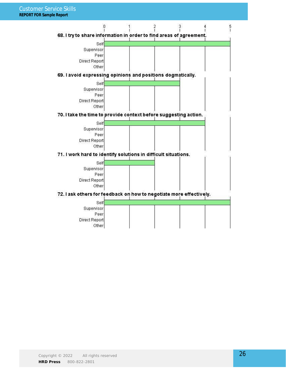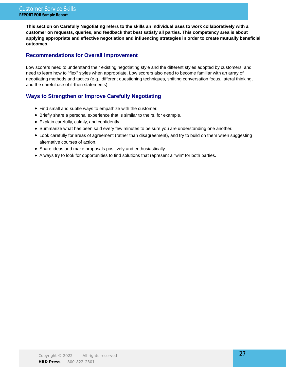**This section on Carefully Negotiating refers to the skills an individual uses to work collaboratively with a customer on requests, queries, and feedback that best satisfy all parties. This competency area is about applying appropriate and effective negotiation and influencing strategies in order to create mutually beneficial outcomes.**

## **Recommendations for Overall Improvement**

Low scorers need to understand their existing negotiating style and the different styles adopted by customers, and need to learn how to "flex" styles when appropriate. Low scorers also need to become familiar with an array of negotiating methods and tactics (e.g., different questioning techniques, shifting conversation focus, lateral thinking, and the careful use of if-then statements).

## **Ways to Strengthen or Improve Carefully Negotiating**

- Find small and subtle ways to empathize with the customer.
- Briefly share a personal experience that is similar to theirs, for example.
- Explain carefully, calmly, and confidently.
- Summarize what has been said every few minutes to be sure you are understanding one another.
- Look carefully for areas of agreement (rather than disagreement), and try to build on them when suggesting alternative courses of action.
- Share ideas and make proposals positively and enthusiastically.
- Always try to look for opportunities to find solutions that represent a "win" for both parties.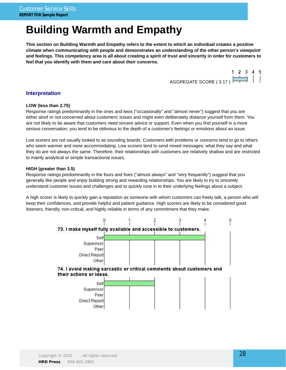## **Building Warmth and Empathy**

**This section on Building Warmth and Empathy refers to the extent to which an individual creates a positive climate when communicating with people and demonstrates an understanding of the other person's viewpoint and feelings. This competency area is all about creating a spirit of trust and sincerity in order for customers to feel that you identify with them and care about their concerns.**

> 1 2 3 4 5 AGGREGATE SCORE (3.17)

#### **Interpretation**

#### **LOW (less than 2.75)**

Response ratings predominantly in the ones and twos ("occasionally" and "almost never") suggest that you are either aloof or not concerned about customers' issues and might even deliberately distance yourself from them. You are not likely to be aware that customers need sincere advice or support. Even when you find yourself in a more serious conversation, you tend to be oblivious to the depth of a customer's feelings or emotions about an issue.

Low scorers are not usually looked to as sounding boards. Customers with problems or concerns tend to go to others who seem warmer and more accommodating. Low scorers tend to send mixed messages; what they say and what they do are not always the same. Therefore, their relationships with customers are relatively shallow and are restricted to mainly analytical or simple transactional issues.

#### **HIGH (greater than 3.5)**

Response ratings predominantly in the fours and fives ("almost always" and "very frequently") suggest that you generally like people and enjoy building strong and rewarding relationships. You are likely to try to sincerely understand customer issues and challenges and to quickly tune in to their underlying feelings about a subject.

A high scorer is likely to quickly gain a reputation as someone with whom customers can freely talk, a person who will keep their confidences, and provide helpful and patient guidance. High scorers are likely to be considered good listeners, friendly, non-critical, and highly reliable in terms of any commitment that they make.

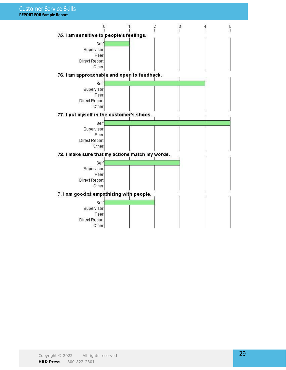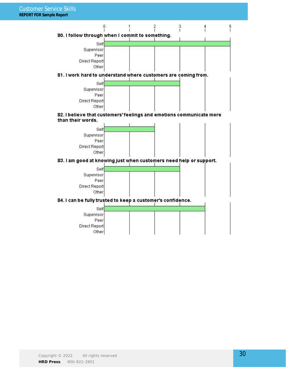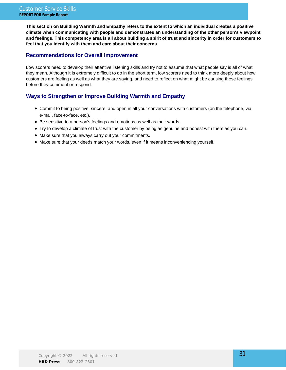**This section on Building Warmth and Empathy refers to the extent to which an individual creates a positive climate when communicating with people and demonstrates an understanding of the other person's viewpoint and feelings. This competency area is all about building a spirit of trust and sincerity in order for customers to feel that you identify with them and care about their concerns.**

### **Recommendations for Overall Improvement**

Low scorers need to develop their attentive listening skills and try not to assume that what people say is all of what they mean. Although it is extremely difficult to do in the short term, low scorers need to think more deeply about how customers are feeling as well as what they are saying, and need to reflect on what might be causing these feelings before they comment or respond.

## **Ways to Strengthen or Improve Building Warmth and Empathy**

- Commit to being positive, sincere, and open in all your conversations with customers (on the telephone, via e-mail, face-to-face, etc.).
- Be sensitive to a person's feelings and emotions as well as their words.
- Try to develop a climate of trust with the customer by being as genuine and honest with them as you can.
- Make sure that you always carry out your commitments.
- $\bullet$  Make sure that your deeds match your words, even if it means inconveniencing yourself.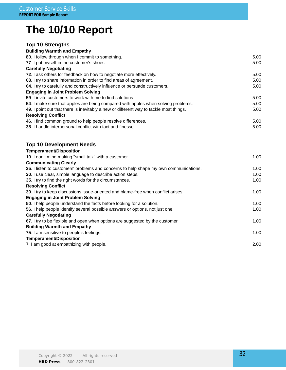## **The 10/10 Report**

## **Top 10 Strengths**

#### **Building Warmth and Empathy**

| 80. I follow through when I commit to something.                                       | 5.00 |
|----------------------------------------------------------------------------------------|------|
| 77. I put myself in the customer's shoes.                                              | 5.00 |
| <b>Carefully Negotiating</b>                                                           |      |
| <b>72.</b> I ask others for feedback on how to negotiate more effectively.             | 5.00 |
| 68. I try to share information in order to find areas of agreement.                    | 5.00 |
| 64. I try to carefully and constructively influence or persuade customers.             | 5.00 |
| <b>Engaging in Joint Problem Solving</b>                                               |      |
| 59. I invite customers to work with me to find solutions.                              | 5.00 |
| 54. I make sure that apples are being compared with apples when solving problems.      | 5.00 |
| 49. I point out that there is inevitably a new or different way to tackle most things. | 5.00 |
| <b>Resolving Conflict</b>                                                              |      |
| 46. I find common ground to help people resolve differences.                           | 5.00 |
| 38. I handle interpersonal conflict with tact and finesse.                             | 5.00 |
|                                                                                        |      |

## **Top 10 Development Needs**

## **Temperament/Disposition**

| 10. I don't mind making "small talk" with a customer.                                 | 1.00              |
|---------------------------------------------------------------------------------------|-------------------|
| <b>Communicating Clearly</b>                                                          |                   |
| 25. I listen to customers' problems and concerns to help shape my own communications. | 1.00 <sub>1</sub> |
| 30. I use clear, simple language to describe action steps.                            | 1.00              |
| 35. I try to find the right words for the circumstances.                              | 1.00              |
| <b>Resolving Conflict</b>                                                             |                   |
| 39. I try to keep discussions issue-oriented and blame-free when conflict arises.     | 1.00              |
| <b>Engaging in Joint Problem Solving</b>                                              |                   |
| 50. I help people understand the facts before looking for a solution.                 | 1.00              |
| 56. I help people identify several possible answers or options, not just one.         | 1.00              |
| <b>Carefully Negotiating</b>                                                          |                   |
| 67. I try to be flexible and open when options are suggested by the customer.         | 1.00              |
| <b>Building Warmth and Empathy</b>                                                    |                   |
| 75. I am sensitive to people's feelings.                                              | 1.00              |
| <b>Temperament/Disposition</b>                                                        |                   |
| 7. I am good at empathizing with people.                                              | 2.00              |